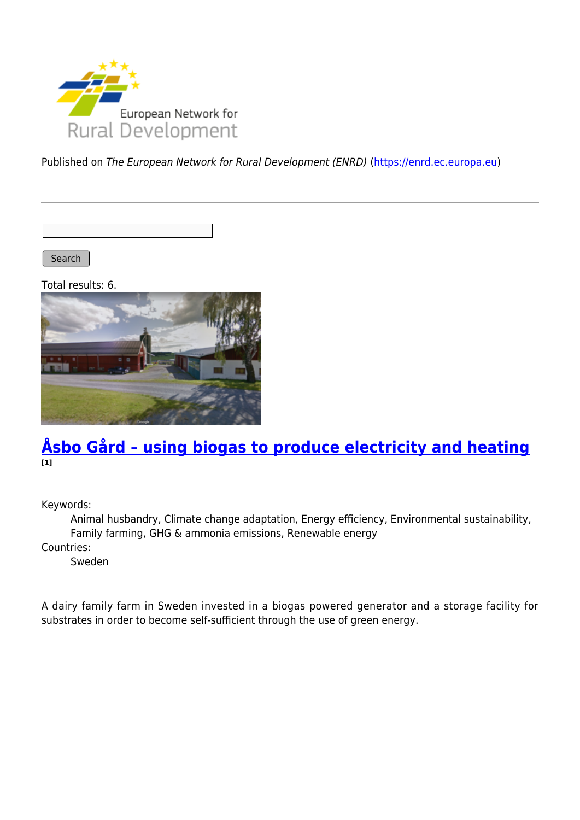

Published on The European Network for Rural Development (ENRD) [\(https://enrd.ec.europa.eu](https://enrd.ec.europa.eu))

Search

Total results: 6.



### **[Åsbo Gård – using biogas to produce electricity and heating](https://enrd.ec.europa.eu/projects-practice/asbo-gard-using-biogas-produce-electricity-and-heating_en) [1]**

Keywords:

Animal husbandry, Climate change adaptation, Energy efficiency, Environmental sustainability, Family farming, GHG & ammonia emissions, Renewable energy Countries:

Sweden

A dairy family farm in Sweden invested in a biogas powered generator and a storage facility for substrates in order to become self-sufficient through the use of green energy.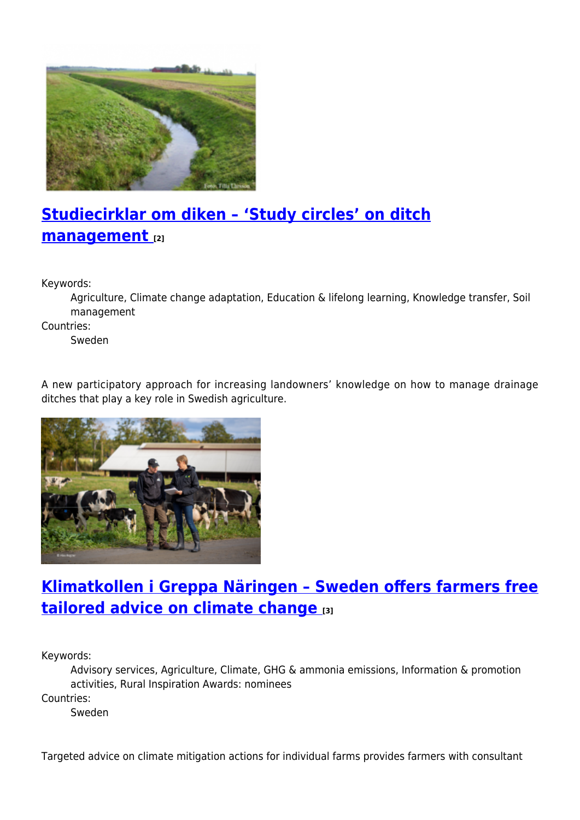

# **[Studiecirklar om diken – 'Study circles' on ditch](https://enrd.ec.europa.eu/projects-practice/studiecirklar-om-diken-study-circles-ditch-management_en) [management](https://enrd.ec.europa.eu/projects-practice/studiecirklar-om-diken-study-circles-ditch-management_en) [2]**

Keywords:

Agriculture, Climate change adaptation, Education & lifelong learning, Knowledge transfer, Soil management

Countries:

Sweden

A new participatory approach for increasing landowners' knowledge on how to manage drainage ditches that play a key role in Swedish agriculture.



## **[Klimatkollen i Greppa Näringen – Sweden offers farmers free](https://enrd.ec.europa.eu/projects-practice/klimatkollen-i-greppa-naringen-sweden-offers-farmers-free-tailored-advice-climate_en) [tailored advice on climate change](https://enrd.ec.europa.eu/projects-practice/klimatkollen-i-greppa-naringen-sweden-offers-farmers-free-tailored-advice-climate_en) [3]**

Keywords:

Advisory services, Agriculture, Climate, GHG & ammonia emissions, Information & promotion activities, Rural Inspiration Awards: nominees

Countries:

Sweden

Targeted advice on climate mitigation actions for individual farms provides farmers with consultant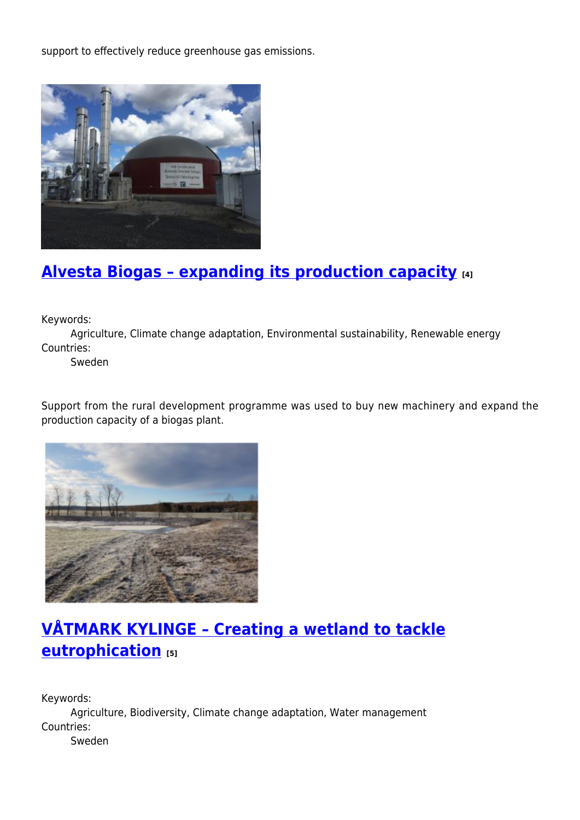support to effectively reduce greenhouse gas emissions.



## **[Alvesta Biogas – expanding its production capacity](https://enrd.ec.europa.eu/projects-practice/alvesta-biogas-expanding-its-production-capacity_en) [4]**

Keywords:

Agriculture, Climate change adaptation, Environmental sustainability, Renewable energy Countries:

Sweden

Support from the rural development programme was used to buy new machinery and expand the production capacity of a biogas plant.



## **[VÅTMARK KYLINGE – Creating a wetland to tackle](https://enrd.ec.europa.eu/projects-practice/vatmark-kylinge-creating-wetland-tackle-eutrophication_en) [eutrophication](https://enrd.ec.europa.eu/projects-practice/vatmark-kylinge-creating-wetland-tackle-eutrophication_en) [5]**

Keywords: Agriculture, Biodiversity, Climate change adaptation, Water management Countries: Sweden